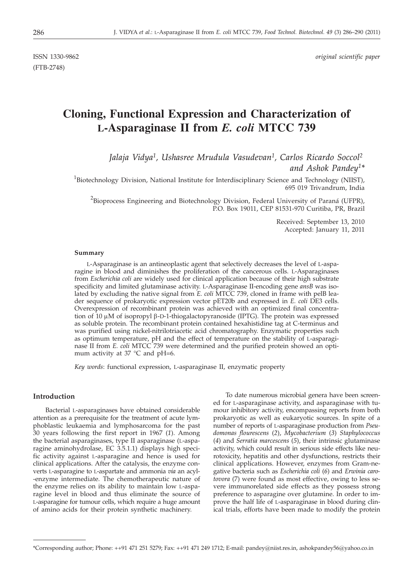(FTB-2748)

# **Cloning, Functional Expression and Characterization of L-Asparaginase II from** *E. coli* **MTCC 739**

*Jalaja Vidya1, Ushasree Mrudula Vasudevan1, Carlos Ricardo Soccol2 and Ashok Pandey1\**

<sup>1</sup>Biotechnology Division, National Institute for Interdisciplinary Science and Technology (NIIST), 695 019 Trivandrum, India

 $^2$ Bioprocess Engineering and Biotechnology Division, Federal University of Paraná (UFPR), P.O. Box 19011, CEP 81531-970 Curitiba, PR, Brazil

> Received: September 13, 2010 Accepted: January 11, 2011

### **Summary**

L-Asparaginase is an antineoplastic agent that selectively decreases the level of L-asparagine in blood and diminishes the proliferation of the cancerous cells. L-Asparaginases from *Escherichia coli* are widely used for clinical application because of their high substrate specificity and limited glutaminase activity. L-Asparaginase II-encoding gene *ansB* was isolated by excluding the native signal from *E. coli* MTCC 739, cloned in frame with pelB leader sequence of prokaryotic expression vector pET20b and expressed in *E. coli* DE3 cells. Overexpression of recombinant protein was achieved with an optimized final concentration of  $10 \mu$ M of isopropyl  $\beta$ -D-1-thiogalactopyranoside (IPTG). The protein was expressed as soluble protein. The recombinant protein contained hexahistidine tag at C-terminus and was purified using nickel-nitrilotriacetic acid chromatography. Enzymatic properties such as optimum temperature, pH and the effect of temperature on the stability of L-asparaginase II from *E. coli* MTCC 739 were determined and the purified protein showed an optimum activity at 37  $^{\circ}$ C and pH=6.

*Key words*: functional expression, L-asparaginase II, enzymatic property

# **Introduction**

Bacterial L-asparaginases have obtained considerable attention as a prerequisite for the treatment of acute lymphoblastic leukaemia and lymphosarcoma for the past 30 years following the first report in 1967 (*1*). Among the bacterial asparaginases, type II asparaginase (L-asparagine aminohydrolase, EC 3.5.1.1) displays high specific activity against L-asparagine and hence is used for clinical applications. After the catalysis, the enzyme converts L-asparagine to L-aspartate and ammonia *via* an acyl- -enzyme intermediate. The chemotherapeutic nature of the enzyme relies on its ability to maintain low L-asparagine level in blood and thus eliminate the source of L-asparagine for tumour cells, which require a huge amount of amino acids for their protein synthetic machinery.

To date numerous microbial genera have been screened for L-asparaginase activity, and asparaginase with tumour inhibitory activity, encompassing reports from both prokaryotic as well as eukaryotic sources. In spite of a number of reports of L-asparaginase production from *Pseudomonas flourescens* (*2*), *Mycobacterium* (*3*) *Staphylococcus* (*4*) and *Serratia marcescens* (*5*), their intrinsic glutaminase activity, which could result in serious side effects like neurotoxicity, hepatitis and other dysfunctions, restricts their clinical applications. However, enzymes from Gram-negative bacteria such as *Escherichia coli* (*6*) and *Erwinia carotovora* (7) were found as most effective, owing to less severe immunorelated side effects as they possess strong preference to asparagine over glutamine. In order to improve the half life of L-asparaginase in blood during clinical trials, efforts have been made to modify the protein

<sup>\*</sup>Corresponding author; Phone: ++91 471 251 5279; Fax: ++91 471 249 1712; E-mail: pandey@niist.res.in, ashokpandey56@yahoo.co.in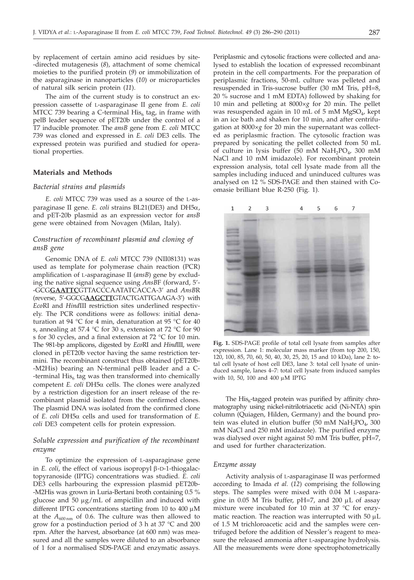by replacement of certain amino acid residues by site- -directed mutagenesis (*8*), attachment of some chemical moieties to the purified protein (*9*) or immobilization of the asparaginase in nanoparticles (*10*) or microparticles of natural silk sericin protein (*11*).

The aim of the current study is to construct an expression cassette of L-asparaginase II gene from *E. coli* MTCC 739 bearing a C-terminal  $His<sub>6</sub>$  tag, in frame with pelB leader sequence of pET20b under the control of a T7 inducible promoter. The *ansB* gene from *E. coli* MTCC 739 was cloned and expressed in *E. coli* DE3 cells. The expressed protein was purified and studied for operational properties.

# **Materials and Methods**

#### *Bacterial strains and plasmids*

*E. coli* MTCC 739 was used as a source of the L-asparaginase II gene. *E. coli* strains BL21(DE3) and DH5a, and pET-20b plasmid as an expression vector for *ansB* gene were obtained from Novagen (Milan, Italy).

# *Construction of recombinant plasmid and cloning of ansB gene*

Genomic DNA of *E. coli* MTCC 739 (NII08131) was used as template for polymerase chain reaction (PCR) amplification of L-asparaginase II (*ansB*) gene by excluding the native signal sequence using *AnsB*F (forward, 5'- -GCG**GAATTC**GTTACCCAATATCACCA-3' and *AnsB*R (reverse, 5'-GGCG**AAGCTT**GTACTGATTGAAGA-3') with *Eco*RI and *Hind*III restriction sites underlined respectively. The PCR conditions were as follows: initial denaturation at 94 °C for 4 min, denaturation at 95 °C for 40 s, annealing at 57.4 °C for 30 s, extension at 72 °C for 90 s for 30 cycles, and a final extension at 72 °C for 10 min. The 981-bp amplicons, digested by *Eco*RI and *Hind*III, were cloned in pET20b vector having the same restriction termini. The recombinant construct thus obtained (pET20b- -M2His) bearing an N-terminal pelB leader and a C- -terminal  $His<sub>6</sub>$  tag was then transformed into chemically competent *E. coli* DH5a cells. The clones were analyzed by a restriction digestion for an insert release of the recombinant plasmid isolated from the confirmed clones. The plasmid DNA was isolated from the confirmed clone of *E. coli* DH5a cells and used for transformation of *E. coli* DE3 competent cells for protein expression.

# *Soluble expression and purification of the recombinant enzyme*

To optimize the expression of L-asparaginase gene in  $E.$  *coli*, the effect of various isopropyl  $\beta$ -D-1-thiogalactopyranoside (IPTG) concentrations was studied. *E. coli* DE3 cells harbouring the expression plasmid pET20b- -M2His was grown in Luria-Bertani broth containing 0.5 % glucose and 50  $\mu$ g/mL of ampicillin and induced with different IPTG concentrations starting from 10 to 400  $\mu$ M at the  $A_{600 \text{nm}}$  of 0.6. The culture was then allowed to grow for a postinduction period of 3 h at 37 °C and 200 rpm. After the harvest, absorbance (at 600 nm) was measured and all the samples were diluted to an absorbance of 1 for a normalised SDS-PAGE and enzymatic assays.

Periplasmic and cytosolic fractions were collected and analysed to establish the location of expressed recombinant protein in the cell compartments. For the preparation of periplasmic fractions, 50-mL culture was pelleted and resuspended in Tris-sucrose buffer (30 mM Tris, pH=8, 20 % sucrose and 1 mM EDTA) followed by shaking for 10 min and pelleting at 8000×*g* for 20 min. The pellet was resuspended again in 10 mL of 5 mM  $MgSO<sub>4</sub>$ , kept in an ice bath and shaken for 10 min, and after centrifugation at 8000×*g* for 20 min the supernatant was collected as periplasmic fraction. The cytosolic fraction was prepared by sonicating the pellet collected from 50 mL of culture in lysis buffer (50 mM NaH<sub>2</sub>PO<sub>4</sub>, 300 mM NaCl and 10 mM imidazole). For recombinant protein expression analysis, total cell lysate made from all the samples including induced and uninduced cultures was analysed on 12 % SDS-PAGE and then stained with Coomasie brilliant blue R-250 (Fig. 1).



**Fig. 1.** SDS-PAGE profile of total cell lysate from samples after expression. Lane 1: molecular mass marker (from top 200, 150, 120, 100, 85, 70, 60, 50, 40, 30, 25, 20, 15 and 10 kDa), lane 2: total cell lysate of host cell DE3, lane 3: total cell lysate of uninduced sample, lanes 4–7: total cell lysate from induced samples with 10, 50, 100 and 400  $\mu$ M IPTG

The  $His<sub>6</sub>$ -tagged protein was purified by affinity chromatography using nickel-nitrilotriacetic acid (Ni-NTA) spin column (Quiagen, Hilden, Germany) and the bound protein was eluted in elution buffer  $(50 \text{ mM } \text{NaH}_2\text{PO}_4, 300)$ mM NaCl and 250 mM imidazole). The purified enzyme was dialysed over night against 50 mM Tris buffer, pH=7, and used for further characterization.

#### *Enzyme assay*

Activity analysis of L-asparaginase II was performed according to Imada *et al.* (*12*) comprising the following steps. The samples were mixed with 0.04 M L-asparagine in 0.05 M Tris buffer, pH=7, and 200  $\mu$ L of assay mixture were incubated for 10 min at 37 °C for enzymatic reaction. The reaction was interrupted with 50  $\mu$ L of 1.5 M trichloroacetic acid and the samples were centrifuged before the addition of Nessler's reagent to measure the released ammonia after L-asparagine hydrolysis. All the measurements were done spectrophotometrically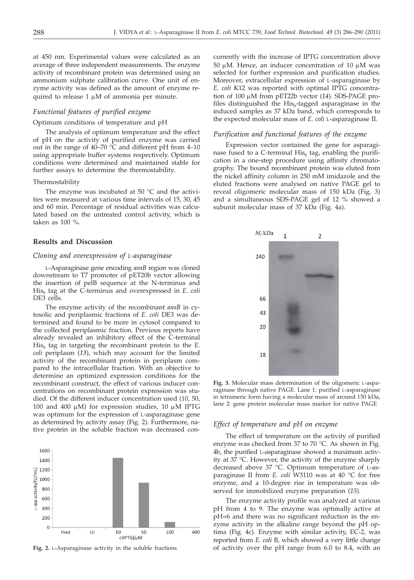at 450 nm. Experimental values were calculated as an average of three independent measurements. The enzyme activity of recombinant protein was determined using an ammonium sulphate calibration curve. One unit of enzyme activity was defined as the amount of enzyme required to release  $1 \mu M$  of ammonia per minute.

## *Functional features of purified enzyme*

#### Optimum conditions of temperature and pH

The analysis of optimum temperature and the effect of pH on the activity of purified enzyme was carried out in the range of 40–70 °C and different pH from 4–10 using appropriate buffer systems respectively. Optimum conditions were determined and maintained stable for further assays to determine the thermostability.

#### Thermostability

The enzyme was incubated at 50 °C and the activities were measured at various time intervals of 15, 30, 45 and 60 min. Percentage of residual activities was calculated based on the untreated control activity, which is taken as 100 %.

# **Results and Discussion**

## *Cloning and overexpression of L-asparaginase*

L-Asparaginase gene encoding *asnB* region was cloned downstream to T7 promoter of pET20b vector allowing the insertion of pelB sequence at the N-terminus and His<sub>6</sub> tag at the C-terminus and overexpressed in *E. coli* DE3 cells.

The enzyme activity of the recombinant *ansB* in cytosolic and periplasmic fractions of *E. coli* DE3 was determined and found to be more in cytosol compared to the collected periplasmic fraction. Previous reports have already revealed an inhibitory effect of the C-terminal  $His<sub>6</sub>$  tag in targeting the recombinant protein to the  $E$ . *coli* periplasm (*13*), which may account for the limited activity of the recombinant protein in periplasm compared to the intracellular fraction. With an objective to determine an optimized expression conditions for the recombinant construct, the effect of various inducer concentrations on recombinant protein expression was studied. Of the different inducer concentration used (10, 50, 100 and 400  $\mu$ M) for expression studies, 10  $\mu$ M IPTG was optimum for the expression of L-asparaginase gene as determined by activity assay (Fig. 2). Furthermore, native protein in the soluble fraction was decreased con-



**Fig. 2.** L-Asparaginase activity in the soluble fractions

currently with the increase of IPTG concentration above 50  $\mu$ M. Hence, an inducer concentration of 10  $\mu$ M was selected for further expression and purification studies. Moreover, extracellular expression of L-asparaginase by *E. coli* K12 was reported with optimal IPTG concentration of 100 μM from pET22b vector (14). SDS-PAGE profiles distinguished the  $His<sub>6</sub>$ -tagged asparaginase in the induced samples as 37 kDa band, which corresponds to the expected molecular mass of *E. coli* L-asparaginase II.

#### *Purification and functional features of the enzyme*

Expression vector contained the gene for asparaginase fused to a C-terminal  $His<sub>6</sub>$  tag, enabling the purification in a one-step procedure using affinity chromatography. The bound recombinant protein was eluted from the nickel affinity column in 250 mM imidazole and the eluted fractions were analysed on native PAGE gel to reveal oligomeric molecular mass of 150 kDa (Fig. 3) and a simultaneous SDS-PAGE gel of 12 % showed a subunit molecular mass of 37 kDa (Fig. 4a).



**Fig. 3.** Molecular mass determination of the oligomeric L-asparaginase through native PAGE. Lane 1: purified L-asparaginase in tetrameric form having a molecular mass of around 150 kDa, lane 2: gene protein molecular mass marker for native PAGE

## *Effect of temperature and pH on enzyme*

The effect of temperature on the activity of purified enzyme was checked from 37 to 70 °C. As shown in Fig. 4b, the purified L-asparaginase showed a maximum activity at 37 °C. However, the activity of the enzyme sharply decreased above 37 °C. Optimum temperature of L-asparaginase II from *E. coli* W3110 was at 40 °C for free enzyme, and a 10-degree rise in temperature was observed for immobilized enzyme preparation (*15*).

The enzyme activity profile was analyzed at various pH from 4 to 9. The enzyme was optimally active at pH=6 and there was no significant reduction in the enzyme activity in the alkaline range beyond the pH optima (Fig. 4c). Enzyme with similar activity, EC-2, was reported from *E. coli* B, which showed a very little change of activity over the pH range from 6.0 to 8.4, with an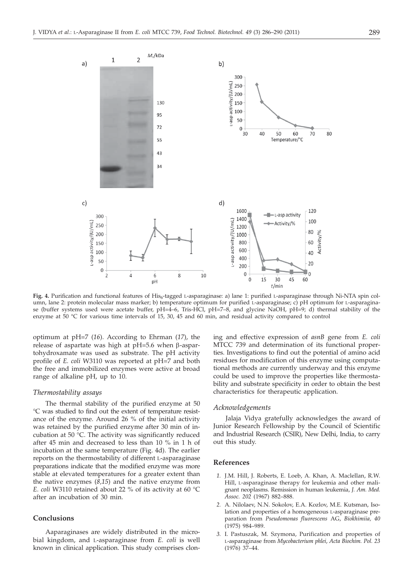

Fig. 4. Purification and functional features of His<sub>6</sub>-tagged L-asparaginase: a) lane 1: purified L-asparaginase through Ni-NTA spin column, lane 2: protein molecular mass marker; b) temperature optimum for purified L-asparaginase; c) pH optimum for L-asparaginase (buffer systems used were acetate buffer, pH=4–6, Tris-HCl, pH=7–8, and glycine NaOH, pH=9; d) thermal stability of the enzyme at 50 °C for various time intervals of 15, 30, 45 and 60 min, and residual activity compared to control

optimum at pH=7 (*16*). According to Ehrman (*17*), the release of aspartate was high at  $pH=5.6$  when  $\beta$ -aspartohydroxamate was used as substrate. The pH activity profile of *E. coli* W3110 was reported at pH=7 and both the free and immobilized enzymes were active at broad range of alkaline pH, up to 10.

#### *Thermostability assays*

The thermal stability of the purified enzyme at 50 °C was studied to find out the extent of temperature resistance of the enzyme. Around 26 % of the initial activity was retained by the purified enzyme after 30 min of incubation at 50 °C. The activity was significantly reduced after 45 min and decreased to less than 10 % in 1 h of incubation at the same temperature (Fig. 4d). The earlier reports on the thermostability of different L-asparaginase preparations indicate that the modified enzyme was more stable at elevated temperatures for a greater extent than the native enzymes (*8,15*) and the native enzyme from *E. coli* W3110 retained about 22 % of its activity at 60 °C after an incubation of 30 min.

# **Conclusions**

Aaparaginases are widely distributed in the microbial kingdom, and L-asparaginase from *E. coli* is well known in clinical application. This study comprises cloning and effective expression of *asnB* gene from *E. coli* MTCC 739 and determination of its functional properties. Investigations to find out the potential of amino acid residues for modification of this enzyme using computational methods are currently underway and this enzyme could be used to improve the properties like thermostability and substrate specificity in order to obtain the best characteristics for therapeutic application.

## *Acknowledgements*

Jalaja Vidya gratefully acknowledges the award of Junior Research Fellowship by the Council of Scientific and Industrial Research (CSIR), New Delhi, India, to carry out this study.

# **References**

- *1.* J.M. Hill, J. Roberts, E. Loeb, A. Khan, A. Maclellan, R.W. Hill, L-asparaginase therapy for leukemia and other malignant neoplasms. Remission in human leukemia, *J. Am. Med. Assoc. 202* (1967) 882–888.
- *2.* A. Nilolaev, N.N. Sokolov, E.A. Kozlov, M.E. Kutsman, Isolation and properties of a homogeneous L-asparaginase preparation from *Pseudomonas fluorescens* AG, *Biokhimiia, 40* (1975) 984–989.
- *3.* I. Pastuszak, M. Szymona, Purification and properties of L-asparaginase from *Mycobacterium phlei*, *Acta Biochim. Pol. 23* (1976) 37–44.